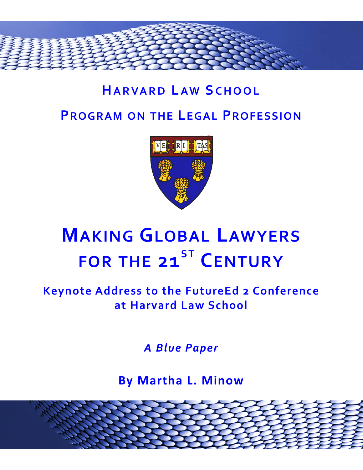

## **HARVARD LAW SCHOOL PROGRAM ON THE LEGAL PROFESSION**



# **MAKING GLOBAL LAWYERS FOR THE 21ST CENTURY**

#### **Keynote Address to the FutureEd 2 Conference at Harvard Law School**

*A Blue Paper*

**By Martha L. Minow**

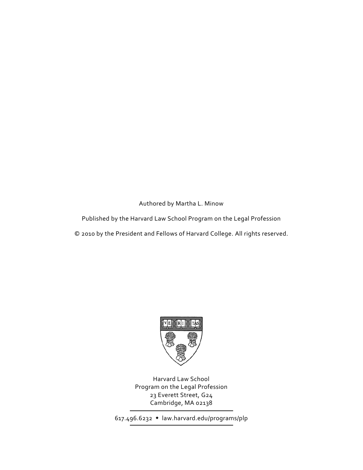Authored by Martha L. Minow

Published by the Harvard Law School Program on the Legal Profession

© 2010 by the President and Fellows of Harvard College. All rights reserved.



Harvard Law School Program on the Legal Profession 23 Everett Street, G24 Cambridge, MA 02138

617.496.6232 law.harvard.edu/programs/plp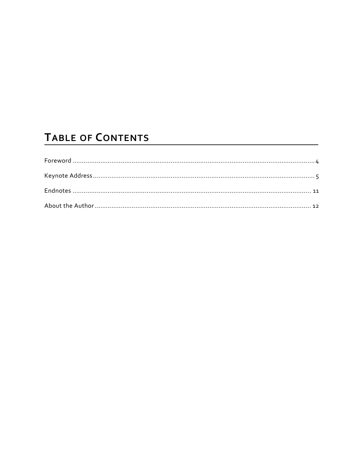### TABLE OF CONTENTS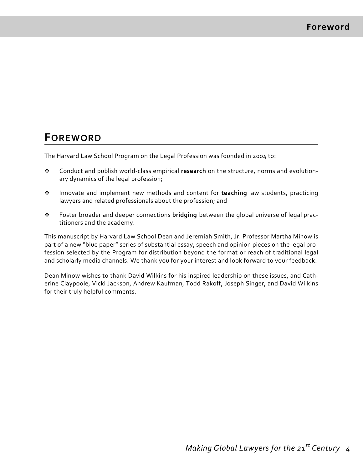#### **FOREWORD**

The Harvard Law School Program on the Legal Profession was founded in 2004 to:

- Conduct and publish world‐class empirical **research** on the structure, norms and evolution‐ ary dynamics of the legal profession;
- Innovate and implement new methods and content for **teaching** law students, practicing lawyers and related professionals about the profession; and
- Foster broader and deeper connections **bridging** between the global universe of legal prac‐ titioners and the academy.

This manuscript by Harvard Law School Dean and Jeremiah Smith, Jr. Professor Martha Minow is part of a new "blue paper" series of substantial essay, speech and opinion pieces on the legal profession selected by the Program for distribution beyond the format or reach of traditional legal and scholarly media channels. We thank you for your interest and look forward to your feedback.

Dean Minow wishes to thank David Wilkins for his inspired leadership on these issues, and Cath‐ erine Claypoole, Vicki Jackson, Andrew Kaufman, Todd Rakoff, Joseph Singer, and David Wilkins for their truly helpful comments.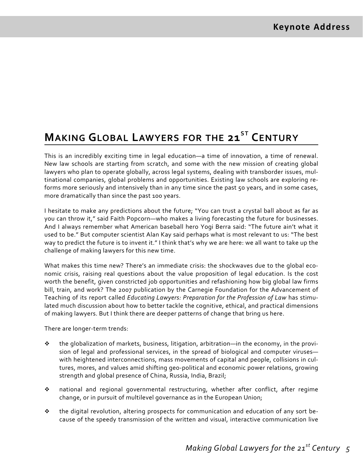### **MAKING GLOBAL LAWYERS FOR THE 21ST CENTURY**

This is an incredibly exciting time in legal education—a time of innovation, a time of renewal. New law schools are starting from scratch, and some with the new mission of creating global lawyers who plan to operate globally, across legal systems, dealing with transborder issues, multinational companies, global problems and opportunities. Existing law schools are exploring re‐ forms more seriously and intensively than in any time since the past 50 years, and in some cases, more dramatically than since the past 100 years.

I hesitate to make any predictions about the future; "You can trust a crystal ball about as far as you can throw it," said Faith Popcorn—who makes a living forecasting the future for businesses. And I always remember what American baseball hero Yogi Berra said: "The future ain't what it used to be." But computer scientist Alan Kay said perhaps what is most relevant to us: "The best way to predict the future is to invent it." I think that's why we are here: we all want to take up the challenge of making lawyers for this new time.

What makes this time new? There's an immediate crisis: the shockwaves due to the global economic crisis, raising real questions about the value proposition of legal education. Is the cost worth the benefit, given constricted job opportunities and refashioning how big global law firms bill, train, and work? The 2007 publication by the Carnegie Foundation for the Advancement of Teaching of its report called *Educating Lawyers: Preparation for the Profession of Law* has stimu‐ lated much discussion about how to better tackle the cognitive, ethical, and practical dimensions of making lawyers. But I think there are deeper patterns of change that bring us here.

There are longer‐term trends:

- $\bullet$  the globalization of markets, business, litigation, arbitration—in the economy, in the provision of legal and professional services, in the spread of biological and computer viruses with heightened interconnections, mass movements of capital and people, collisions in cul‐ tures, mores, and values amid shifting geo‐political and economic power relations, growing strength and global presence of China, Russia, India, Brazil;
- national and regional governmental restructuring, whether after conflict, after regime change, or in pursuit of multilevel governance as in the European Union;
- the digital revolution, altering prospects for communication and education of any sort be‐ cause of the speedy transmission of the written and visual, interactive communication live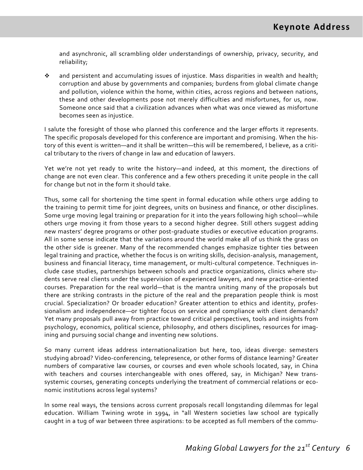and asynchronic, all scrambling older understandings of ownership, privacy, security, and reliability;

\* and persistent and accumulating issues of injustice. Mass disparities in wealth and health; corruption and abuse by governments and companies; burdens from global climate change and pollution, violence within the home, within cities, across regions and between nations, these and other developments pose not merely difficulties and misfortunes, for us, now. Someone once said that a civilization advances when what was once viewed as misfortune becomes seen as injustice.

I salute the foresight of those who planned this conference and the larger efforts it represents. The specific proposals developed for this conference are important and promising. When the his‐ tory of this event is written—and it shall be written—this will be remembered, I believe, as a critical tributary to the rivers of change in law and education of lawyers.

Yet we're not yet ready to write the history—and indeed, at this moment, the directions of change are not even clear. This conference and a few others preceding it unite people in the call for change but not in the form it should take.

Thus, some call for shortening the time spent in formal education while others urge adding to the training to permit time for joint degrees, units on business and finance, or other disciplines. Some urge moving legal training or preparation for it into the years following high school—while others urge moving it from those years to a second higher degree. Still others suggest adding new masters' degree programs or other post‐graduate studies or executive education programs. All in some sense indicate that the variations around the world make all of us think the grass on the other side is greener. Many of the recommended changes emphasize tighter ties between legal training and practice, whether the focus is on writing skills, decision‐analysis, management, business and financial literacy, time management, or multi‐cultural competence. Techniques in‐ clude case studies, partnerships between schools and practice organizations, clinics where stu‐ dents serve real clients under the supervision of experienced lawyers, and new practice‐oriented courses. Preparation for the real world—that is the mantra uniting many of the proposals but there are striking contrasts in the picture of the real and the preparation people think is most crucial. Specialization? Or broader education? Greater attention to ethics and identity, profes‐ sionalism and independence—or tighter focus on service and compliance with client demands? Yet many proposals pull away from practice toward critical perspectives, tools and insights from psychology, economics, political science, philosophy, and others disciplines, resources for imag‐ ining and pursuing social change and inventing new solutions.

So many current ideas address internationalization but here, too, ideas diverge: semesters studying abroad? Video‐conferencing, telepresence, or other forms of distance learning? Greater numbers of comparative law courses, or courses and even whole schools located, say, in China with teachers and courses interchangeable with ones offered, say, in Michigan? New transsystemic courses, generating concepts underlying the treatment of commercial relations or economic institutions across legal systems?

In some real ways, the tensions across current proposals recall longstanding dilemmas for legal education. William Twining wrote in 1994, in "all Western societies law school are typically caught in a tug of war between three aspirations: to be accepted as full members of the commu‐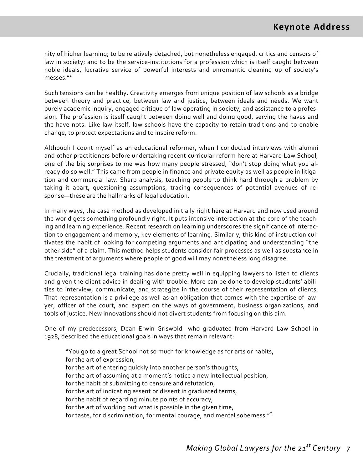nity of higher learning; to be relatively detached, but nonetheless engaged, critics and censors of law in society; and to be the service-institutions for a profession which is itself caught between noble ideals, lucrative service of powerful interests and unromantic cleaning up of society's  $m$ esses $n^1$ 

Such tensions can be healthy. Creativity emerges from unique position of law schools as a bridge between theory and practice, between law and justice, between ideals and needs. We want purely academic inquiry, engaged critique of law operating in society, and assistance to a profes‐ sion. The profession is itself caught between doing well and doing good, serving the haves and the have‐nots. Like law itself, law schools have the capacity to retain traditions and to enable change, to protect expectations and to inspire reform.

Although I count myself as an educational reformer, when I conducted interviews with alumni and other practitioners before undertaking recent curricular reform here at Harvard Law School, one of the big surprises to me was how many people stressed, "don't stop doing what you al‐ ready do so well." This came from people in finance and private equity as well as people in litiga‐ tion and commercial law. Sharp analysis, teaching people to think hard through a problem by taking it apart, questioning assumptions, tracing consequences of potential avenues of re‐ sponse—these are the hallmarks of legal education.

In many ways, the case method as developed initially right here at Harvard and now used around the world gets something profoundly right. It puts intensive interaction at the core of the teach‐ ing and learning experience. Recent research on learning underscores the significance of interac‐ tion to engagement and memory, key elements of learning. Similarly, this kind of instruction cul‐ tivates the habit of looking for competing arguments and anticipating and understanding "the other side" of a claim. This method helps students consider fair processes as well as substance in the treatment of arguments where people of good will may nonetheless long disagree.

Crucially, traditional legal training has done pretty well in equipping lawyers to listen to clients and given the client advice in dealing with trouble. More can be done to develop students' abilities to interview, communicate, and strategize in the course of their representation of clients. That representation is a privilege as well as an obligation that comes with the expertise of law‐ yer, officer of the court, and expert on the ways of government, business organizations, and tools of justice. New innovations should not divert students from focusing on this aim.

One of my predecessors, Dean Erwin Griswold—who graduated from Harvard Law School in 1928, described the educational goals in ways that remain relevant:

"You go to a great School not so much for knowledge as for arts or habits, for the art of expression, for the art of entering quickly into another person's thoughts, for the art of assuming at a moment's notice a new intellectual position, for the habit of submitting to censure and refutation, for the art of indicating assent or dissent in graduated terms, for the habit of regarding minute points of accuracy, for the art of working out what is possible in the given time, for taste, for discrimination, for mental courage, and mental soberness."<sup>2</sup>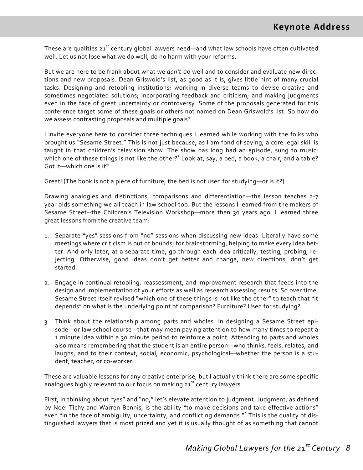These are qualities 21<sup>st</sup> century global lawyers need—and what law schools have often cultivated well. Let us not lose what we do well; do no harm with your reforms.

But we are here to be frank about what we *don't* do well and to consider and evaluate new direc‐ tions and new proposals. Dean Griswold's list, as good as it is, gives little hint of many crucial tasks. Designing and retooling institutions; working in diverse teams to devise creative and sometimes negotiated solutions; incorporating feedback and criticism; and making judgments even in the face of great uncertainty or controversy. Some of the proposals generated for this conference target some of these goals or others not named on Dean Griswold's list. So how do we assess contrasting proposals and multiple goals?

I invite everyone here to consider three techniques I learned while working with the folks who brought us "Sesame Street." This is not just because, as I am fond of saying, a core legal skill is taught in that children's television show. The show has long had an episode, sung to music: which one of these things is not like the other?<sup>3</sup> Look at, say, a bed, a book, a chair, and a table? Got it—which one is it?

Great! [The book is not a piece of furniture; the bed is not used for studying—or is it?]

Drawing analogies and distinctions, comparisons and differentiation—the lesson teaches 2-7 year olds something we all teach in law school too. But the lessons I learned from the makers of Sesame Street--the Children's Television Workshop—more than 30 years ago. I learned three great lessons from the creative team:

- 1. Separate "yes" sessions from "no" sessions when discussing new ideas. Literally have some meetings where criticism is out of bounds; for brainstorming, helping to make every idea bet‐ ter. And only later, at a separate time, go through each idea critically, testing, probing, re‐ jecting. Otherwise, good ideas don't get better and change, new directions, don't get started.
- 2. Engage in continual retooling, reassessment, and improvement research that feeds into the design and implementation of your efforts as well as research assessing results. So over time, Sesame Street itself revised "which one of these things is not like the other" to teach that "it depends" on what is the underlying point of comparison? Furniture? Used for studying?
- 3. Think about the relationship among parts and wholes. In designing a Sesame Street epi‐ sode—or law school course—that may mean paying attention to how many times to repeat a 1 minute idea within a 30 minute period to reinforce a point. Attending to parts and wholes also means remembering that the student is an entire person—who thinks, feels, relates, and laughs, and to their context, social, economic, psychological—whether the person is a stu‐ dent, teacher, or co‐worker.

These are valuable lessons for any creative enterprise, but I actually think there are some specific analogues highly relevant to our focus on making  $21^{st}$  century lawyers.

First, in thinking about "yes" and "no," let's elevate attention to judgment. Judgment, as defined by Noel Tichy and Warren Bennis, is the ability "to make decisions and take effective actions" even "in the face of ambiguity, uncertainty, and conflicting demands."<sup>4</sup> This is the quality of distinguished lawyers that is most prized and yet it is usually thought of as something that cannot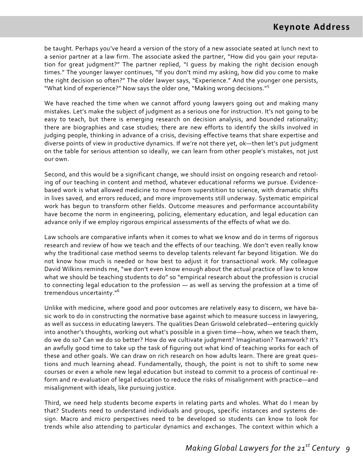be taught. Perhaps you've heard a version of the story of a new associate seated at lunch next to a senior partner at a law firm. The associate asked the partner, "How did you gain your reputa‐ tion for great judgment?" The partner replied, "I guess by making the right decision enough times." The younger lawyer continues, "If you don't mind my asking, how did you come to make the right decision so often?" The older lawyer says, "Experience." And the younger one persists, "What kind of experience?" Now says the older one, "Making wrong decisions."<sup>5</sup>

We have reached the time when we cannot afford young lawyers going out and making many mistakes. Let's make the subject of judgment as a serious one for instruction. It's not going to be easy to teach, but there is emerging research on decision analysis, and bounded rationality; there are biographies and case studies; there are new efforts to identify the skills involved in judging people, thinking in advance of a crisis, devising effective teams that share expertise and diverse points of view in productive dynamics. If we're not there yet, ok—then let's put judgment on the table for serious attention so ideally, we can learn from other people's mistakes, not just our own.

Second, and this would be a significant change, we should insist on ongoing research and retool‐ ing of our teaching in content and method, whatever educational reforms we pursue. Evidence‐ based work is what allowed medicine to move from superstition to science, with dramatic shifts in lives saved, and errors reduced, and more improvements still underway. Systematic empirical work has begun to transform other fields. Outcome measures and performance accountability have become the norm in engineering, policing, elementary education, and legal education can advance only if we employ rigorous empirical assessments of the effects of what we do.

Law schools are comparative infants when it comes to what we know and do in terms of rigorous research and review of how we teach and the effects of our teaching. We don't even really know why the traditional case method seems to develop talents relevant far beyond litigation. We do not know how much is needed or how best to adjust it for transactional work. My colleague David Wilkins reminds me, "we don't even know enough about the actual practice of law to know what we should be teaching students to do" so "empirical research about the profession is crucial to connecting legal education to the profession — as well as serving the profession at a time of tremendous uncertainty."<sup>6</sup>

Unlike with medicine, where good and poor outcomes are relatively easy to discern, we have ba‐ sic work to do in constructing the normative base against which to measure success in lawyering, as well as success in educating lawyers. The qualities Dean Griswold celebrated—entering quickly into another's thoughts, working out what's possible in a given time—how, when we teach them, do we do so? Can we do so better? How do we cultivate judgment? Imagination? Teamwork? It's an awfully good time to take up the task of figuring out what kind of teaching works for each of these and other goals. We can draw on rich research on how adults learn. There are great ques‐ tions and much learning ahead. Fundamentally, though, the point is not to shift to some new courses or even a whole new legal education but instead to commit to a process of continual re‐ form and re-evaluation of legal education to reduce the risks of misalignment with practice—and misalignment with ideals, like pursuing justice.

Third, we need help students become experts in relating parts and wholes. What do I mean by that? Students need to understand individuals and groups, specific instances and systems de‐ sign. Macro and micro perspectives need to be developed so students can know to look for trends while also attending to particular dynamics and exchanges. The context within which a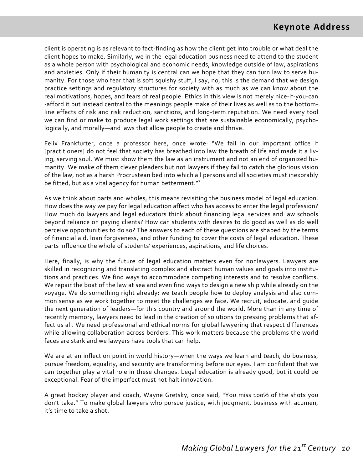client is operating is as relevant to fact‐finding as how the client get into trouble or what deal the client hopes to make. Similarly, we in the legal education business need to attend to the student as a whole person with psychological and economic needs, knowledge outside of law, aspirations and anxieties. Only if their humanity is central can we hope that they can turn law to serve humanity. For those who fear that is soft squishy stuff, I say, no, this is the demand that we design practice settings and regulatory structures for society with as much as we can know about the real motivations, hopes, and fears of real people. Ethics in this view is not merely nice‐if‐you‐can ‐afford it but instead central to the meanings people make of their lives as well as to the bottom‐ line effects of risk and risk reduction, sanctions, and long-term reputation. We need every tool we can find or make to produce legal work settings that are sustainable economically, psychologically, and morally—and laws that allow people to create and thrive.

Felix Frankfurter, once a professor here, once wrote: "We fail in our important office if [practitioners] do not feel that society has breathed into law the breath of life and made it a liv‐ ing, serving soul. We must show them the law as an instrument and not an end of organized hu‐ manity. We make of them clever pleaders but not lawyers if they fail to catch the glorious vision of the law, not as a harsh Procrustean bed into which all persons and all societies must inexorably be fitted, but as a vital agency for human betterment."<sup>7</sup>

As we think about parts and wholes, this means revisiting the business model of legal education. How does the way we pay for legal education affect who has access to enter the legal profession? How much do lawyers and legal educators think about financing legal services and law schools beyond reliance on paying clients? How can students with desires to do good as well as do well perceive opportunities to do so? The answers to each of these questions are shaped by the terms of financial aid, loan forgiveness, and other funding to cover the costs of legal education. These parts influence the whole of students' experiences, aspirations, and life choices.

Here, finally, is why the future of legal education matters even for nonlawyers. Lawyers are skilled in recognizing and translating complex and abstract human values and goals into institutions and practices. We find ways to accommodate competing interests and to resolve conflicts. We repair the boat of the law at sea and even find ways to design a new ship while already on the voyage. We do something right already: we teach people how to deploy analysis and also com‐ mon sense as we work together to meet the challenges we face. We recruit, educate, and guide the next generation of leaders—for this country and around the world. More than in any time of recently memory, lawyers need to lead in the creation of solutions to pressing problems that af‐ fect us all. We need professional and ethical norms for global lawyering that respect differences while allowing collaboration across borders. This work matters because the problems the world faces are stark and we lawyers have tools that can help.

We are at an inflection point in world history—when the ways we learn and teach, do business, pursue freedom, equality, and security are transforming before our eyes. I am confident that we can together play a vital role in these changes. Legal education is already good, but it could be exceptional. Fear of the imperfect must not halt innovation.

A great hockey player and coach, Wayne Gretsky, once said, "You miss 100% of the shots you don't take." To make global lawyers who pursue justice, with judgment, business with acumen, it's time to take a shot.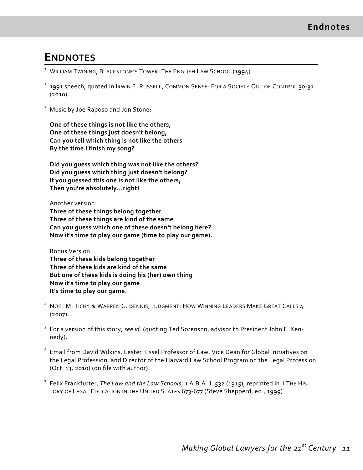#### **ENDNOTES**

- <sup>1</sup> WILLIAM TWINING, BLACKSTONE'S TOWER: THE ENGLISH LAW SCHOOL (1994).
- <sup>2</sup> 1991 speech, quoted in IRWIN E. RUSSELL, COMMON SENSE: FOR A SOCIETY OUT OF CONTROL 30-31 (2010).
- <sup>3</sup> Music by Joe Raposo and Jon Stone:

**One of these things is not like the others, One of these things just doesn't belong, Can you tell which thing is not like the others By the time I finish my song?** 

**Did you guess which thing was not like the others? Did you guess which thing just doesn't belong? If you guessed this one is not like the others, Then you're absolutely...right!** 

#### Another version:

**Three of these things belong together Three of these things are kind of the same Can you guess which one of these doesn't belong here? Now it's time to play our game (time to play our game).**

#### Bonus Version:

**Three of these kids belong together Three of these kids are kind of the same But one of these kids is doing his (her) own thing Now it's time to play our game It's time to play our game.**

- <sup>4</sup> NOEL M. TICHY & WARREN G. BENNIS, JUDGMENT: HOW WINNING LEADERS MAKE GREAT CALLS 4 (2007).
- <sup>5</sup> For a version of this story, *see id*. (quoting Ted Sorenson, advisor to President John F. Ken‐ nedy).
- <sup>6</sup> Email from David Wilkins, Lester Kissel Professor of Law, Vice Dean for Global Initiatives on the Legal Profession, and Director of the Harvard Law School Program on the Legal Profession (Oct. 13, 2010) (on file with author).
- <sup>7</sup> Felix Frankfurter, *The Law and the Law Schools*, 1 A.B.A. J. 532 (1915), reprinted in II THE HIS‐ TORY OF LEGAL EDUCATION IN THE UNITED STATES 673-677 (Steve Shepperd, ed., 1999).